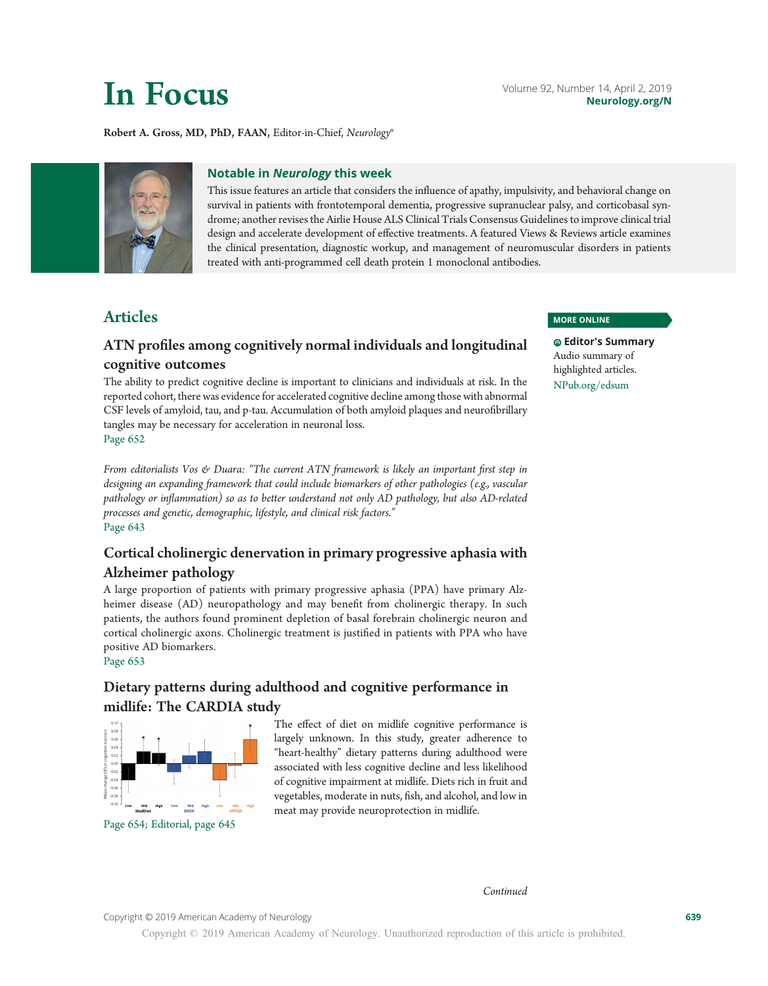## Robert A. Gross, MD, PhD, FAAN, Editor-in-Chief, Neurology®



## Notable in Neurology this week

This issue features an article that considers the influence of apathy, impulsivity, and behavioral change on survival in patients with frontotemporal dementia, progressive supranuclear palsy, and corticobasal syndrome; another revises the Airlie House ALS Clinical Trials Consensus Guidelines to improve clinical trial design and accelerate development of effective treatments. A featured Views & Reviews article examines the clinical presentation, diagnostic workup, and management of neuromuscular disorders in patients treated with anti-programmed cell death protein 1 monoclonal antibodies.

# Articles

# ATN profiles among cognitively normal individuals and longitudinal cognitive outcomes

The ability to predict cognitive decline is important to clinicians and individuals at risk. In the reported cohort, there was evidence for accelerated cognitive decline among those with abnormal CSF levels of amyloid, tau, and p-tau. Accumulation of both amyloid plaques and neurofibrillary tangles may be necessary for acceleration in neuronal loss. Page 652

From editorialists Vos & Duara: "The current ATN framework is likely an important first step in designing an expanding framework that could include biomarkers of other pathologies (e.g., vascular pathology or inflammation) so as to better understand not only AD pathology, but also AD-related processes and genetic, demographic, lifestyle, and clinical risk factors." Page 643

# Cortical cholinergic denervation in primary progressive aphasia with Alzheimer pathology

A large proportion of patients with primary progressive aphasia (PPA) have primary Alzheimer disease (AD) neuropathology and may benefit from cholinergic therapy. In such patients, the authors found prominent depletion of basal forebrain cholinergic neuron and cortical cholinergic axons. Cholinergic treatment is justified in patients with PPA who have positive AD biomarkers.

Page 653

# Dietary patterns during adulthood and cognitive performance in midlife: The CARDIA study



Page 654; Editorial, page 645

The effect of diet on midlife cognitive performance is largely unknown. In this study, greater adherence to "heart-healthy" dietary patterns during adulthood were associated with less cognitive decline and less likelihood of cognitive impairment at midlife. Diets rich in fruit and vegetables, moderate in nuts, fish, and alcohol, and low in meat may provide neuroprotection in midlife.

### MORE ONLINE

Editor's Summary Audio summary of highlighted articles. [NPub.org/edsum](http://NPub.org/edsum)

Copyright © 2019 American Academy of Neurology 639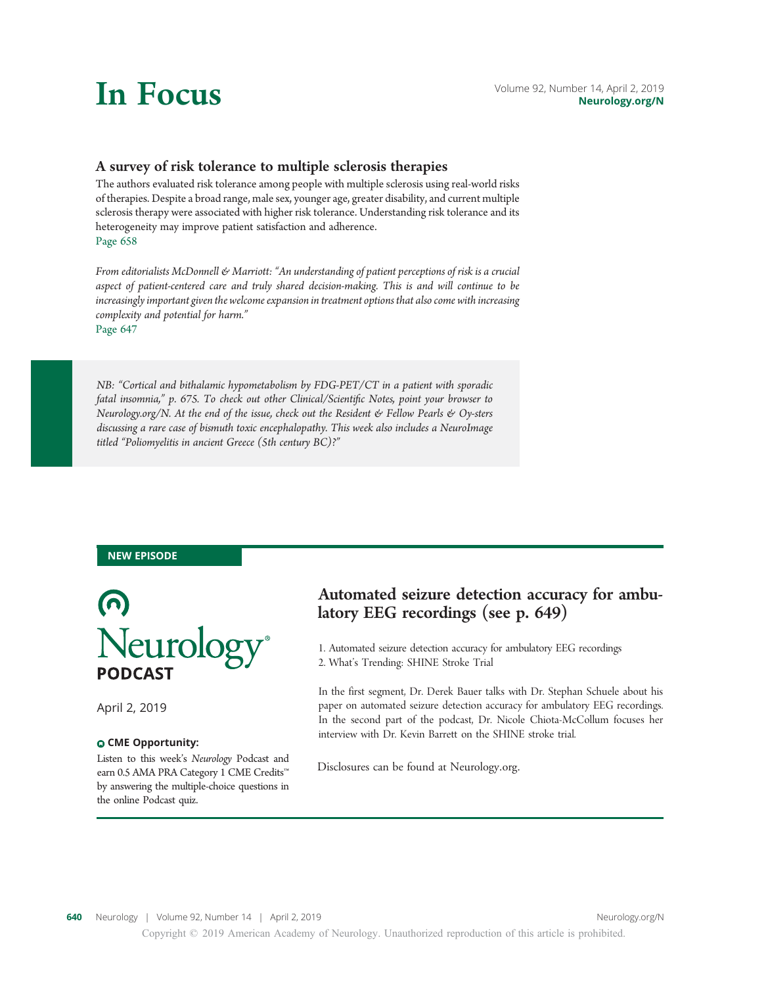# A survey of risk tolerance to multiple sclerosis therapies

The authors evaluated risk tolerance among people with multiple sclerosis using real-world risks of therapies. Despite a broad range, male sex, younger age, greater disability, and current multiple sclerosis therapy were associated with higher risk tolerance. Understanding risk tolerance and its heterogeneity may improve patient satisfaction and adherence. Page 658

From editorialists McDonnell & Marriott: "An understanding of patient perceptions of risk is a crucial aspect of patient-centered care and truly shared decision-making. This is and will continue to be increasingly important given the welcome expansion in treatment options that also come with increasing complexity and potential for harm."

Page 647

NB: "Cortical and bithalamic hypometabolism by FDG-PET/CT in a patient with sporadic fatal insomnia," p. 675. To check out other Clinical/Scientific Notes, point your browser to [Neurology.org/N.](http://neurology.org/n) At the end of the issue, check out the Resident & Fellow Pearls & Oy-sters discussing a rare case of bismuth toxic encephalopathy. This week also includes a NeuroImage titled "Poliomyelitis in ancient Greece (5th century BC)?"

## NEW EPISODE



April 2, 2019

## CME Opportunity:

Listen to this week's Neurology Podcast and earn 0.5 AMA PRA Category 1 CME Credits™ by answering the multiple-choice questions in the online Podcast quiz.

# Automated seizure detection accuracy for ambulatory EEG recordings (see p. 649)

1. Automated seizure detection accuracy for ambulatory EEG recordings 2. What's Trending: SHINE Stroke Trial

In the first segment, Dr. Derek Bauer talks with Dr. Stephan Schuele about his paper on automated seizure detection accuracy for ambulatory EEG recordings. In the second part of the podcast, Dr. Nicole Chiota-McCollum focuses her interview with Dr. Kevin Barrett on the SHINE stroke trial.

Disclosures can be found at Neurology.org.

Copyright © 2019 American Academy of Neurology. Unauthorized reproduction of this article is prohibited.